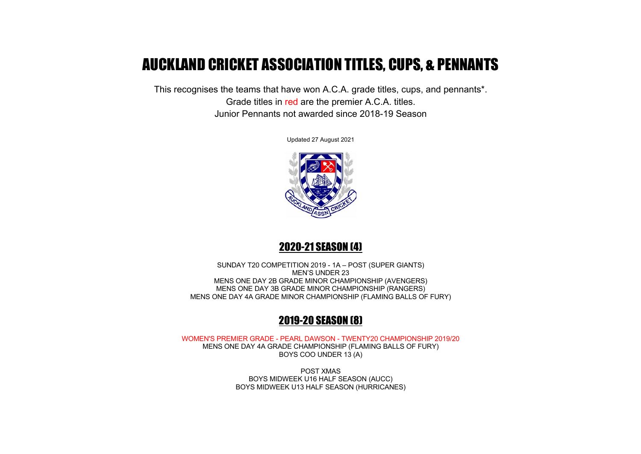# AUCKLAND CRICKET ASSOCIATION TITLES, CUPS, & PENNANTS

This recognises the teams that have won A.C.A. grade titles, cups, and pennants\*. Grade titles in red are the premier A.C.A. titles. Junior Pennants not awarded since 2018-19 Season

Updated 27 August 2021



# 2020-21 SEASON (4)

SUNDAY T20 COMPETITION 2019 - 1A – POST (SUPER GIANTS) MEN'S UNDER 23 MENS ONE DAY 2B GRADE MINOR CHAMPIONSHIP (AVENGERS) MENS ONE DAY 3B GRADE MINOR CHAMPIONSHIP (RANGERS) MENS ONE DAY 4A GRADE MINOR CHAMPIONSHIP (FLAMING BALLS OF FURY)

# 2019-20 SEASON (8)

WOMEN'S PREMIER GRADE - PEARL DAWSON - TWENTY20 CHAMPIONSHIP 2019/20 MENS ONE DAY 4A GRADE CHAMPIONSHIP (FLAMING BALLS OF FURY) BOYS COO UNDER 13 (A)

> POST XMAS BOYS MIDWEEK U16 HALF SEASON (AUCC) BOYS MIDWEEK U13 HALF SEASON (HURRICANES)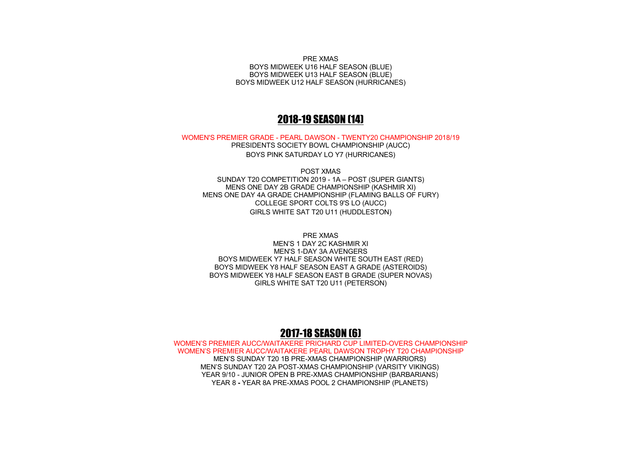PRE XMAS BOYS MIDWEEK U16 HALF SEASON (BLUE) BOYS MIDWEEK U13 HALF SEASON (BLUE) BOYS MIDWEEK U12 HALF SEASON (HURRICANES)

#### 2018-19 SEASON (14)

WOMEN'S PREMIER GRADE - PEARL DAWSON - TWENTY20 CHAMPIONSHIP 2018/19

PRESIDENTS SOCIETY BOWL CHAMPIONSHIP (AUCC) BOYS PINK SATURDAY LO Y7 (HURRICANES)

POST XMAS SUNDAY T20 COMPETITION 2019 - 1A – POST (SUPER GIANTS) MENS ONE DAY 2B GRADE CHAMPIONSHIP (KASHMIR XI) MENS ONE DAY 4A GRADE CHAMPIONSHIP (FLAMING BALLS OF FURY) COLLEGE SPORT COLTS 9'S LO (AUCC) GIRLS WHITE SAT T20 U11 (HUDDLESTON)

PRE XMAS

MEN'S 1 DAY 2C KASHMIR XI MEN'S 1-DAY 3A AVENGERS BOYS MIDWEEK Y7 HALF SEASON WHITE SOUTH EAST (RED) BOYS MIDWEEK Y8 HALF SEASON EAST A GRADE (ASTEROIDS) BOYS MIDWEEK Y8 HALF SEASON EAST B GRADE (SUPER NOVAS) GIRLS WHITE SAT T20 U11 (PETERSON)

#### 2017-18 SEASON (6)

WOMEN'S PREMIER AUCC/WAITAKERE PRICHARD CUP LIMITED-OVERS CHAMPIONSHIP WOMEN'S PREMIER AUCC/WAITAKERE PEARL DAWSON TROPHY T20 CHAMPIONSHIP MEN'S SUNDAY T20 1B PRE-XMAS CHAMPIONSHIP (WARRIORS) MEN'S SUNDAY T20 2A POST-XMAS CHAMPIONSHIP (VARSITY VIKINGS) YEAR 9/10 - JUNIOR OPEN B PRE-XMAS CHAMPIONSHIP (BARBARIANS) YEAR 8 **-** YEAR 8A PRE-XMAS POOL 2 CHAMPIONSHIP (PLANETS)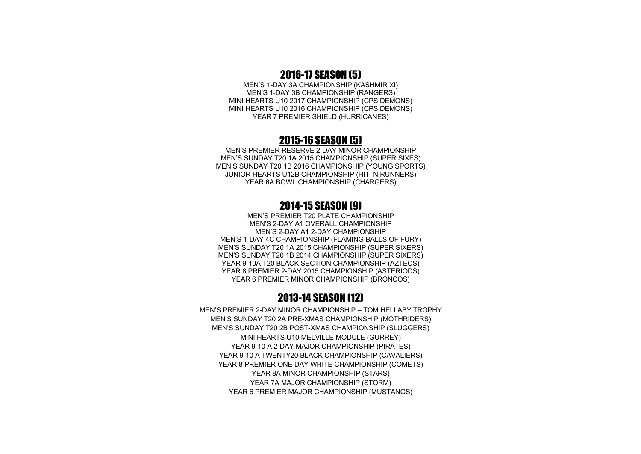#### 2016-17 SEASON (5)

MEN'S 1-DAY 3A CHAMPIONSHIP (KASHMIR XI) MEN'S 1-DAY 3B CHAMPIONSHIP (RANGERS) MINI HEARTS U10 2017 CHAMPIONSHIP (CPS DEMONS) MINI HEARTS U10 2016 CHAMPIONSHIP (CPS DEMONS) YEAR 7 PREMIER SHIELD (HURRICANES)

#### 2015-16 SEASON (5)

MEN'S PREMIER RESERVE 2-DAY MINOR CHAMPIONSHIP MEN'S SUNDAY T20 1A 2015 CHAMPIONSHIP (SUPER SIXES) MEN'S SUNDAY T20 1B 2016 CHAMPIONSHIP (YOUNG SPORTS) JUNIOR HEARTS U12B CHAMPIONSHIP (HIT N RUNNERS) YEAR 6A BOWL CHAMPIONSHIP (CHARGERS)

#### 2014-15 SEASON (9)

MEN'S PREMIER T20 PLATE CHAMPIONSHIP MEN'S 2-DAY A1 OVERALL CHAMPIONSHIP MEN'S 2-DAY A1 2-DAY CHAMPIONSHIP MEN'S 1-DAY 4C CHAMPIONSHIP (FLAMING BALLS OF FURY) MEN'S SUNDAY T20 1A 2015 CHAMPIONSHIP (SUPER SIXERS) MEN'S SUNDAY T20 1B 2014 CHAMPIONSHIP (SUPER SIXERS) YEAR 9-10A T20 BLACK SECTION CHAMPIONSHIP (AZTECS) YEAR 8 PREMIER 2-DAY 2015 CHAMPIONSHIP (ASTERIODS) YEAR 6 PREMIER MINOR CHAMPIONSHIP (BRONCOS)

#### 2013-14 SEASON (12)

MEN'S PREMIER 2-DAY MINOR CHAMPIONSHIP – TOM HELLABY TROPHY MEN'S SUNDAY T20 2A PRE-XMAS CHAMPIONSHIP (MOTHRIDERS) MEN'S SUNDAY T20 2B POST-XMAS CHAMPIONSHIP (SLUGGERS) MINI HEARTS U10 MELVILLE MODULE (GURREY) YEAR 9-10 A 2-DAY MAJOR CHAMPIONSHIP (PIRATES) YEAR 9-10 A TWENTY20 BLACK CHAMPIONSHIP (CAVALIERS) YEAR 8 PREMIER ONE DAY WHITE CHAMPIONSHIP (COMETS) YEAR 8A MINOR CHAMPIONSHIP (STARS) YEAR 7A MAJOR CHAMPIONSHIP (STORM) YEAR 6 PREMIER MAJOR CHAMPIONSHIP (MUSTANGS)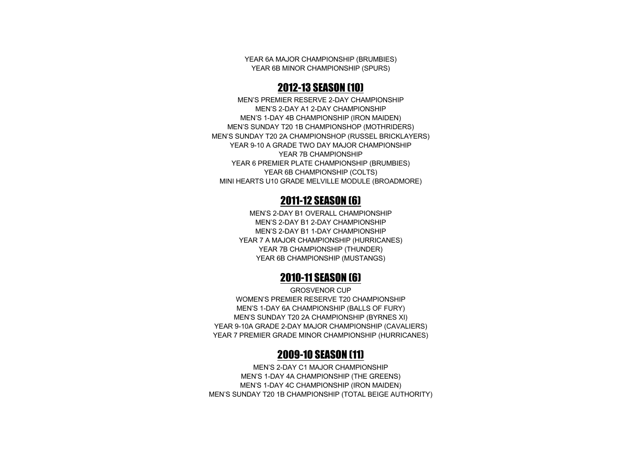YEAR 6A MAJOR CHAMPIONSHIP (BRUMBIES) YEAR 6B MINOR CHAMPIONSHIP (SPURS)

# 2012-13 SEASON (10)

MEN'S PREMIER RESERVE 2-DAY CHAMPIONSHIP MEN'S 2-DAY A1 2-DAY CHAMPIONSHIP MEN'S 1-DAY 4B CHAMPIONSHIP (IRON MAIDEN) MEN'S SUNDAY T20 1B CHAMPIONSHOP (MOTHRIDERS) MEN'S SUNDAY T20 2A CHAMPIONSHOP (RUSSEL BRICKLAYERS) YEAR 9-10 A GRADE TWO DAY MAJOR CHAMPIONSHIP YEAR 7B CHAMPIONSHIP YEAR 6 PREMIER PLATE CHAMPIONSHIP (BRUMBIES) YEAR 6B CHAMPIONSHIP (COLTS) MINI HEARTS U10 GRADE MELVILLE MODULE (BROADMORE)

#### 2011-12 SEASON (6)

MEN'S 2-DAY B1 OVERALL CHAMPIONSHIP MEN'S 2-DAY B1 2-DAY CHAMPIONSHIP MEN'S 2-DAY B1 1-DAY CHAMPIONSHIP YEAR 7 A MAJOR CHAMPIONSHIP (HURRICANES) YEAR 7B CHAMPIONSHIP (THUNDER) YEAR 6B CHAMPIONSHIP (MUSTANGS)

# 2010-11 SEASON (6)

GROSVENOR CUP WOMEN'S PREMIER RESERVE T20 CHAMPIONSHIP MEN'S 1-DAY 6A CHAMPIONSHIP (BALLS OF FURY) MEN'S SUNDAY T20 2A CHAMPIONSHIP (BYRNES XI) YEAR 9-10A GRADE 2-DAY MAJOR CHAMPIONSHIP (CAVALIERS) YEAR 7 PREMIER GRADE MINOR CHAMPIONSHIP (HURRICANES)

# 2009-10 SEASON (11)

MEN'S 2-DAY C1 MAJOR CHAMPIONSHIP MEN'S 1-DAY 4A CHAMPIONSHIP (THE GREENS) MEN'S 1-DAY 4C CHAMPIONSHIP (IRON MAIDEN) MEN'S SUNDAY T20 1B CHAMPIONSHIP (TOTAL BEIGE AUTHORITY)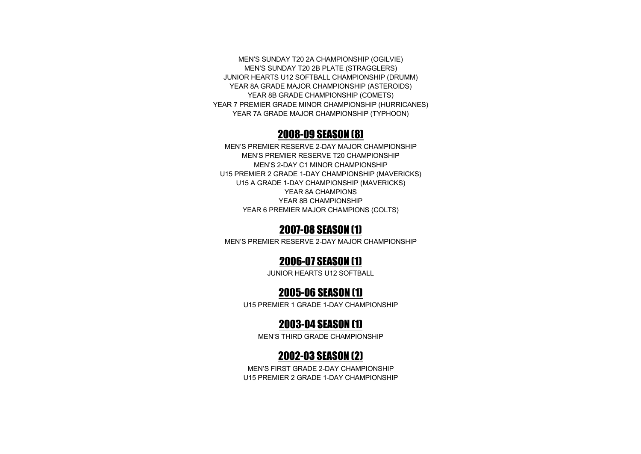MEN'S SUNDAY T20 2A CHAMPIONSHIP (OGILVIE) MEN'S SUNDAY T20 2B PLATE (STRAGGLERS) JUNIOR HEARTS U12 SOFTBALL CHAMPIONSHIP (DRUMM) YEAR 8A GRADE MAJOR CHAMPIONSHIP (ASTEROIDS) YEAR 8B GRADE CHAMPIONSHIP (COMETS) YEAR 7 PREMIER GRADE MINOR CHAMPIONSHIP (HURRICANES) YEAR 7A GRADE MAJOR CHAMPIONSHIP (TYPHOON)

#### 2008-09 SEASON (8)

MEN'S PREMIER RESERVE 2-DAY MAJOR CHAMPIONSHIP MEN'S PREMIER RESERVE T20 CHAMPIONSHIP MEN'S 2-DAY C1 MINOR CHAMPIONSHIP U15 PREMIER 2 GRADE 1-DAY CHAMPIONSHIP (MAVERICKS) U15 A GRADE 1-DAY CHAMPIONSHIP (MAVERICKS) YEAR 8A CHAMPIONS YEAR 8B CHAMPIONSHIP YEAR 6 PREMIER MAJOR CHAMPIONS (COLTS)

# 2007-08 SEASON (1)

MEN'S PREMIER RESERVE 2-DAY MAJOR CHAMPIONSHIP

# 2006-07 SEASON (1)

JUNIOR HEARTS U12 SOFTBALL

# 2005-06 SEASON (1)

U15 PREMIER 1 GRADE 1-DAY CHAMPIONSHIP

# 2003-04 SEASON (1)

MEN'S THIRD GRADE CHAMPIONSHIP

# 2002-03 SEASON (2)

MEN'S FIRST GRADE 2-DAY CHAMPIONSHIP U15 PREMIER 2 GRADE 1-DAY CHAMPIONSHIP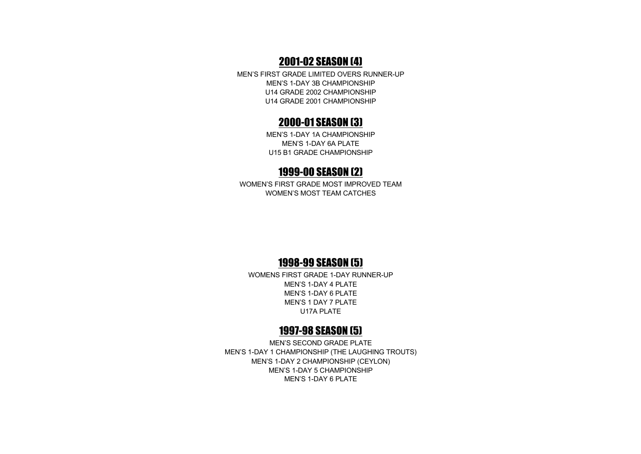# 2001-02 SEASON (4)

MEN'S FIRST GRADE LIMITED OVERS RUNNER-UP MEN'S 1-DAY 3B CHAMPIONSHIP U14 GRADE 2002 CHAMPIONSHIP U14 GRADE 2001 CHAMPIONSHIP

#### 2000-01 SEASON (3)

MEN'S 1-DAY 1A CHAMPIONSHIP MEN'S 1-DAY 6A PLATE U15 B1 GRADE CHAMPIONSHIP

#### 1999-00 SEASON (2)

WOMEN'S FIRST GRADE MOST IMPROVED TEAM WOMEN'S MOST TEAM CATCHES

#### 1998-99 SEASON (5)

WOMENS FIRST GRADE 1-DAY RUNNER-UP MEN'S 1-DAY 4 PLATE MEN'S 1-DAY 6 PLATE MEN'S 1 DAY 7 PLATE U17A PLATE

#### 1997-98 SEASON (5)

MEN'S SECOND GRADE PLATE MEN'S 1-DAY 1 CHAMPIONSHIP (THE LAUGHING TROUTS) MEN'S 1-DAY 2 CHAMPIONSHIP (CEYLON) MEN'S 1-DAY 5 CHAMPIONSHIP MEN'S 1-DAY 6 PLATE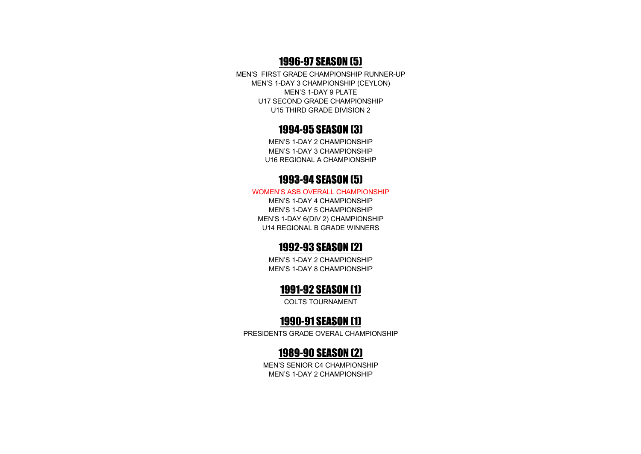# 1996-97 SEASON (5)

MEN'S FIRST GRADE CHAMPIONSHIP RUNNER-UP MEN'S 1-DAY 3 CHAMPIONSHIP (CEYLON) MEN'S 1-DAY 9 PLATE U17 SECOND GRADE CHAMPIONSHIP U15 THIRD GRADE DIVISION 2

#### 1994-95 SEASON (3)

MEN'S 1-DAY 2 CHAMPIONSHIP MEN'S 1-DAY 3 CHAMPIONSHIP U16 REGIONAL A CHAMPIONSHIP

#### 1993-94 SEASON (5)

#### WOMEN'S ASB OVERALL CHAMPIONSHIP

MEN'S 1-DAY 4 CHAMPIONSHIP MEN'S 1-DAY 5 CHAMPIONSHIP MEN'S 1-DAY 6(DIV 2) CHAMPIONSHIP U14 REGIONAL B GRADE WINNERS

#### 1992-93 SEASON (2)

MEN'S 1-DAY 2 CHAMPIONSHIP MEN'S 1-DAY 8 CHAMPIONSHIP

#### 1991-92 SEASON (1)

COLTS TOURNAMENT

#### 1990-91 SEASON (1)

PRESIDENTS GRADE OVERAL CHAMPIONSHIP

# 1989-90 SEASON (2)

MEN'S SENIOR C4 CHAMPIONSHIP MEN'S 1-DAY 2 CHAMPIONSHIP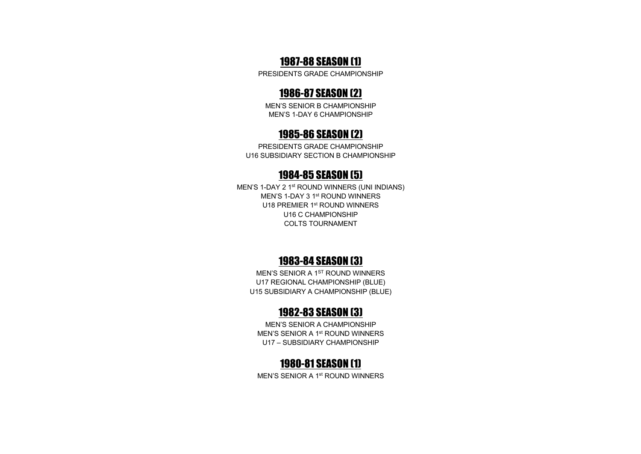# 1987-88 SEASON (1)

PRESIDENTS GRADE CHAMPIONSHIP

# 1986-87 SEASON (2)

MEN'S SENIOR B CHAMPIONSHIP MEN'S 1-DAY 6 CHAMPIONSHIP

### 1985-86 SEASON (2)

PRESIDENTS GRADE CHAMPIONSHIP U16 SUBSIDIARY SECTION B CHAMPIONSHIP

#### 1984-85 SEASON (5)

MEN'S 1-DAY 2 1st ROUND WINNERS (UNI INDIANS) MEN'S 1-DAY 3 1st ROUND WINNERS U18 PREMIER 1<sup>st</sup> ROUND WINNERS U16 C CHAMPIONSHIP COLTS TOURNAMENT

# 1983-84 SEASON (3)

MEN'S SENIOR A 1<sup>ST</sup> ROUND WINNERS U17 REGIONAL CHAMPIONSHIP (BLUE) U15 SUBSIDIARY A CHAMPIONSHIP (BLUE)

#### 1982-83 SEASON (3)

MEN'S SENIOR A CHAMPIONSHIP MEN'S SENIOR A 1st ROUND WINNERS U17 – SUBSIDIARY CHAMPIONSHIP

# 1980-81 SEASON (1)

MEN'S SENIOR A 1st ROUND WINNERS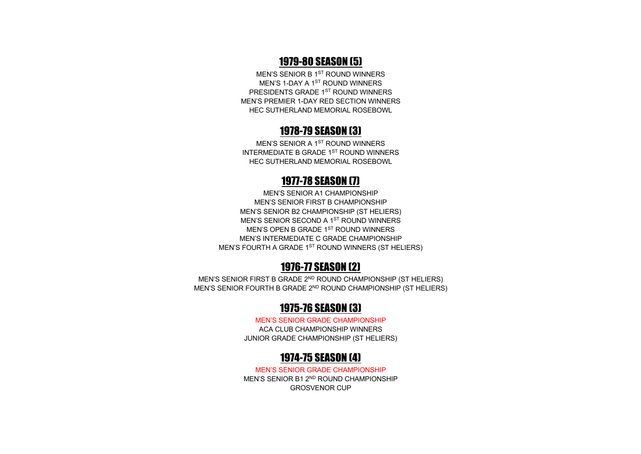# 1979-80 SEASON (5)

MEN'S SENIOR B 1ST ROUND WINNERS MEN'S 1-DAY A 1<sup>ST</sup> ROUND WINNERS PRESIDENTS GRADE 1ST ROUND WINNERS MEN'S PREMIER 1-DAY RED SECTION WINNERS HEC SUTHERLAND MEMORIAL ROSEBOWL

#### 1978-79 SEASON (3)

MEN'S SENIOR A 1ST ROUND WINNERS INTERMEDIATE B GRADE 1ST ROUND WINNERS HEC SUTHERLAND MEMORIAL ROSEBOWL

# 1977-78 SEASON (7)

MEN'S SENIOR A1 CHAMPIONSHIP MEN'S SENIOR FIRST B CHAMPIONSHIP MEN'S SENIOR B2 CHAMPIONSHIP (ST HELIERS) MEN'S SENIOR SECOND A 1<sup>ST</sup> ROUND WINNERS MEN'S OPEN B GRADE 1ST ROUND WINNERS MEN'S INTERMEDIATE C GRADE CHAMPIONSHIP MEN'S FOURTH A GRADE 1<sup>ST</sup> ROUND WINNERS (ST HELIERS)

# 1976-77 SEASON (2)

MEN'S SENIOR FIRST B GRADE 2<sup>ND</sup> ROUND CHAMPIONSHIP (ST HELIERS) MEN'S SENIOR FOURTH B GRADE 2<sup>ND</sup> ROUND CHAMPIONSHIP (ST HELIERS)

# 1975-76 SEASON (3)

MEN'S SENIOR GRADE CHAMPIONSHIP ACA CLUB CHAMPIONSHIP WINNERS JUNIOR GRADE CHAMPIONSHIP (ST HELIERS)

# 1974-75 SEASON (4)

MEN'S SENIOR GRADE CHAMPIONSHIP MEN'S SENIOR B1 2ND ROUND CHAMPIONSHIP GROSVENOR CUP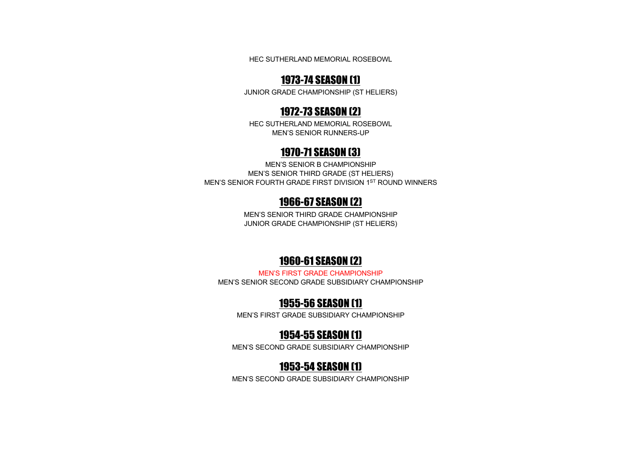HEC SUTHERLAND MEMORIAL ROSEBOWL

### 1973-74 SEASON (1)

JUNIOR GRADE CHAMPIONSHIP (ST HELIERS)

#### 1972-73 SEASON (2)

HEC SUTHERLAND MEMORIAL ROSEBOWL MEN'S SENIOR RUNNERS-UP

#### 1970-71 SEASON (3)

MEN'S SENIOR B CHAMPIONSHIP MEN'S SENIOR THIRD GRADE (ST HELIERS) MEN'S SENIOR FOURTH GRADE FIRST DIVISION 1ST ROUND WINNERS

# 1966-67 SEASON (2)

MEN'S SENIOR THIRD GRADE CHAMPIONSHIP JUNIOR GRADE CHAMPIONSHIP (ST HELIERS)

# 1960-61 SEASON (2)

MEN'S FIRST GRADE CHAMPIONSHIP MEN'S SENIOR SECOND GRADE SUBSIDIARY CHAMPIONSHIP

# 1955-56 SEASON (1)

MEN'S FIRST GRADE SUBSIDIARY CHAMPIONSHIP

# 1954-55 SEASON (1)

MEN'S SECOND GRADE SUBSIDIARY CHAMPIONSHIP

# 1953-54 SEASON (1)

MEN'S SECOND GRADE SUBSIDIARY CHAMPIONSHIP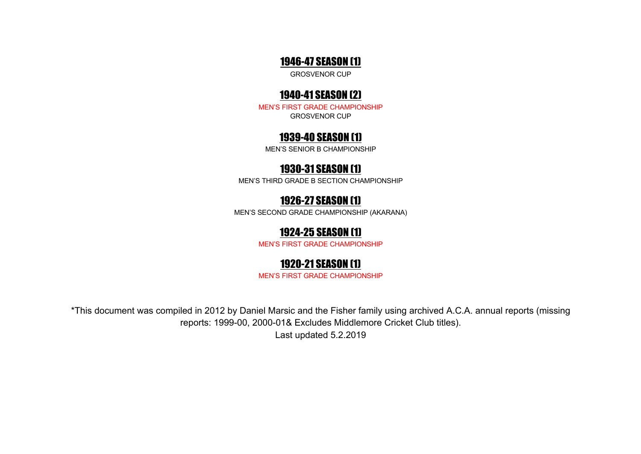#### 1946-47 SEASON (1)

GROSVENOR CUP

# 1940-41 SEASON (2)

MEN'S FIRST GRADE CHAMPIONSHIP GROSVENOR CUP

# 1939-40 SEASON (1)

MEN'S SENIOR B CHAMPIONSHIP

# 1930-31 SEASON (1)

MEN'S THIRD GRADE B SECTION CHAMPIONSHIP

# 1926-27 SEASON (1)

MEN'S SECOND GRADE CHAMPIONSHIP (AKARANA)

# 1924-25 SEASON (1)

MEN'S FIRST GRADE CHAMPIONSHIP

# 1920-21 SEASON (1)

MEN'S FIRST GRADE CHAMPIONSHIP

\*This document was compiled in 2012 by Daniel Marsic and the Fisher family using archived A.C.A. annual reports (missing reports: 1999-00, 2000-01& Excludes Middlemore Cricket Club titles).

Last updated 5.2.2019